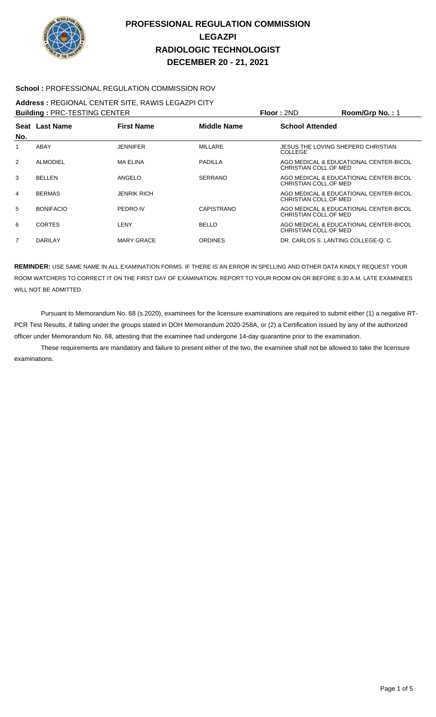

### **School :** PROFESSIONAL REGULATION COMMISSION ROV

### **Address :** REGIONAL CENTER SITE, RAWIS LEGAZPI CITY

| <b>Building: PRC-TESTING CENTER</b> |                  |                    |                    | Floor: 2ND                                    | Room/Grp No.: 1                        |
|-------------------------------------|------------------|--------------------|--------------------|-----------------------------------------------|----------------------------------------|
|                                     | Seat Last Name   | <b>First Name</b>  | <b>Middle Name</b> | <b>School Attended</b>                        |                                        |
| No.                                 |                  |                    |                    |                                               |                                        |
|                                     | ABAY             | <b>JENNIFER</b>    | <b>MILLARE</b>     | JESUS THE LOVING SHEPERD CHRISTIAN<br>COLLEGE |                                        |
| 2                                   | <b>ALMODIEL</b>  | <b>MA ELINA</b>    | <b>PADILLA</b>     | CHRISTIAN COLL.OF MED                         | AGO MEDICAL & EDUCATIONAL CENTER-BICOL |
| 3                                   | <b>BELLEN</b>    | ANGELO             | <b>SERRANO</b>     | CHRISTIAN COLL.OF MED                         | AGO MEDICAL & EDUCATIONAL CENTER-BICOL |
| $\overline{4}$                      | <b>BERMAS</b>    | <b>JENRIK RICH</b> |                    | CHRISTIAN COLL.OF MED                         | AGO MEDICAL & EDUCATIONAL CENTER-BICOL |
| 5                                   | <b>BONIFACIO</b> | PEDRO IV           | CAPISTRANO         | CHRISTIAN COLL.OF MED                         | AGO MEDICAL & EDUCATIONAL CENTER-BICOL |
| 6                                   | <b>CORTES</b>    | LENY               | <b>BELLO</b>       | CHRISTIAN COLL.OF MED                         | AGO MEDICAL & EDUCATIONAL CENTER-BICOL |
| 7                                   | <b>DARILAY</b>   | <b>MARY GRACE</b>  | <b>ORDINES</b>     | DR. CARLOS S. LANTING COLLEGE-O. C.           |                                        |

**REMINDER:** USE SAME NAME IN ALL EXAMINATION FORMS. IF THERE IS AN ERROR IN SPELLING AND OTHER DATA KINDLY REQUEST YOUR ROOM WATCHERS TO CORRECT IT ON THE FIRST DAY OF EXAMINATION. REPORT TO YOUR ROOM ON OR BEFORE 6:30 A.M. LATE EXAMINEES WILL NOT BE ADMITTED.

 Pursuant to Memorandum No. 68 (s.2020), examinees for the licensure examinations are required to submit either (1) a negative RT-PCR Test Results, if falling under the groups stated in DOH Memorandum 2020-258A, or (2) a Certification issued by any of the authorized officer under Memorandum No. 68, attesting that the examinee had undergone 14-day quarantine prior to the examination.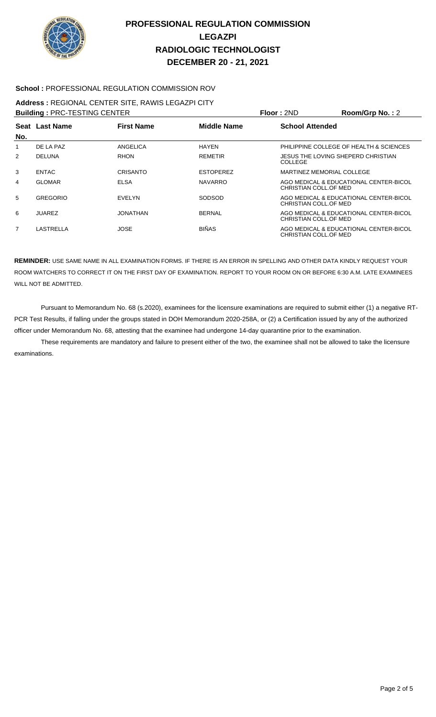

#### **School :** PROFESSIONAL REGULATION COMMISSION ROV

# **Address :** REGIONAL CENTER SITE, RAWIS LEGAZPI CITY

| <b>Building: PRC-TESTING CENTER</b> |                 |                   |                    | Floor: 2ND                                    | Room/Grp No.: 2                         |
|-------------------------------------|-----------------|-------------------|--------------------|-----------------------------------------------|-----------------------------------------|
| No.                                 | Seat Last Name  | <b>First Name</b> | <b>Middle Name</b> | <b>School Attended</b>                        |                                         |
| 1                                   | DE LA PAZ       | ANGELICA          | <b>HAYEN</b>       |                                               | PHILIPPINE COLLEGE OF HEALTH & SCIENCES |
| 2                                   | <b>DELUNA</b>   | <b>RHON</b>       | <b>REMETIR</b>     | JESUS THE LOVING SHEPERD CHRISTIAN<br>COLLEGE |                                         |
| 3                                   | <b>ENTAC</b>    | CRISANTO          | <b>ESTOPEREZ</b>   | MARTINEZ MEMORIAL COLLEGE                     |                                         |
| 4                                   | <b>GLOMAR</b>   | <b>ELSA</b>       | <b>NAVARRO</b>     | CHRISTIAN COLL.OF MED                         | AGO MEDICAL & EDUCATIONAL CENTER-BICOL  |
| 5                                   | <b>GREGORIO</b> | <b>EVELYN</b>     | SODSOD             | CHRISTIAN COLL.OF MED                         | AGO MEDICAL & EDUCATIONAL CENTER-BICOL  |
| 6                                   | <b>JUAREZ</b>   | JONATHAN          | <b>BERNAL</b>      | CHRISTIAN COLL.OF MED                         | AGO MEDICAL & EDUCATIONAL CENTER-BICOL  |
| $\overline{7}$                      | LASTRELLA       | <b>JOSE</b>       | <b>BIÑAS</b>       | CHRISTIAN COLL.OF MED                         | AGO MEDICAL & EDUCATIONAL CENTER-BICOL  |

**REMINDER:** USE SAME NAME IN ALL EXAMINATION FORMS. IF THERE IS AN ERROR IN SPELLING AND OTHER DATA KINDLY REQUEST YOUR ROOM WATCHERS TO CORRECT IT ON THE FIRST DAY OF EXAMINATION. REPORT TO YOUR ROOM ON OR BEFORE 6:30 A.M. LATE EXAMINEES WILL NOT BE ADMITTED.

 Pursuant to Memorandum No. 68 (s.2020), examinees for the licensure examinations are required to submit either (1) a negative RT-PCR Test Results, if falling under the groups stated in DOH Memorandum 2020-258A, or (2) a Certification issued by any of the authorized officer under Memorandum No. 68, attesting that the examinee had undergone 14-day quarantine prior to the examination.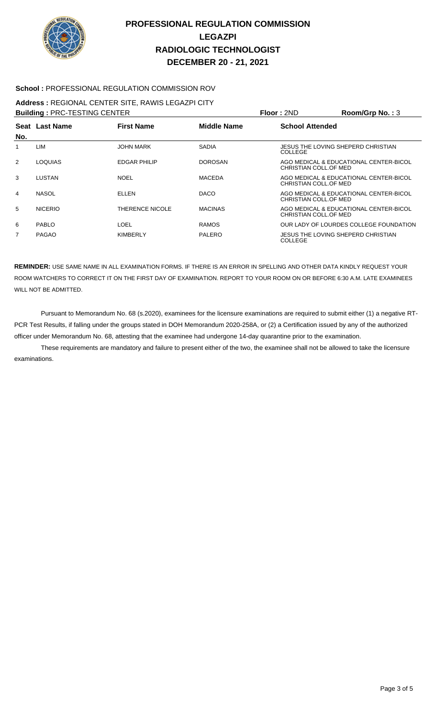

#### **School :** PROFESSIONAL REGULATION COMMISSION ROV

#### **Address :** REGIONAL CENTER SITE, RAWIS LEGAZPI CITY

| <b>Building: PRC-TESTING CENTER</b> |                |                   |                    | Floor: 2ND                                           | Room/Grp No.: 3                        |
|-------------------------------------|----------------|-------------------|--------------------|------------------------------------------------------|----------------------------------------|
|                                     | Seat Last Name | <b>First Name</b> | <b>Middle Name</b> | <b>School Attended</b>                               |                                        |
| No.                                 |                |                   |                    |                                                      |                                        |
| 1                                   | LIM            | <b>JOHN MARK</b>  | <b>SADIA</b>       | JESUS THE LOVING SHEPERD CHRISTIAN<br><b>COLLEGE</b> |                                        |
| 2                                   | <b>LOQUIAS</b> | EDGAR PHILIP      | <b>DOROSAN</b>     | CHRISTIAN COLL.OF MED                                | AGO MEDICAL & EDUCATIONAL CENTER-BICOL |
| 3                                   | LUSTAN         | <b>NOEL</b>       | <b>MACEDA</b>      | CHRISTIAN COLL.OF MED                                | AGO MEDICAL & EDUCATIONAL CENTER-BICOL |
| 4                                   | <b>NASOL</b>   | ELLEN             | <b>DACO</b>        | CHRISTIAN COLL.OF MED                                | AGO MEDICAL & EDUCATIONAL CENTER-BICOL |
| 5                                   | <b>NICERIO</b> | THERENCE NICOLE   | <b>MACINAS</b>     | CHRISTIAN COLL.OF MED                                | AGO MEDICAL & EDUCATIONAL CENTER-BICOL |
| 6                                   | PABLO          | LOEL              | <b>RAMOS</b>       |                                                      | OUR LADY OF LOURDES COLLEGE FOUNDATION |
| $\overline{7}$                      | <b>PAGAO</b>   | <b>KIMBERLY</b>   | PALERO             | JESUS THE LOVING SHEPERD CHRISTIAN<br><b>COLLEGE</b> |                                        |

**REMINDER:** USE SAME NAME IN ALL EXAMINATION FORMS. IF THERE IS AN ERROR IN SPELLING AND OTHER DATA KINDLY REQUEST YOUR ROOM WATCHERS TO CORRECT IT ON THE FIRST DAY OF EXAMINATION. REPORT TO YOUR ROOM ON OR BEFORE 6:30 A.M. LATE EXAMINEES WILL NOT BE ADMITTED.

 Pursuant to Memorandum No. 68 (s.2020), examinees for the licensure examinations are required to submit either (1) a negative RT-PCR Test Results, if falling under the groups stated in DOH Memorandum 2020-258A, or (2) a Certification issued by any of the authorized officer under Memorandum No. 68, attesting that the examinee had undergone 14-day quarantine prior to the examination.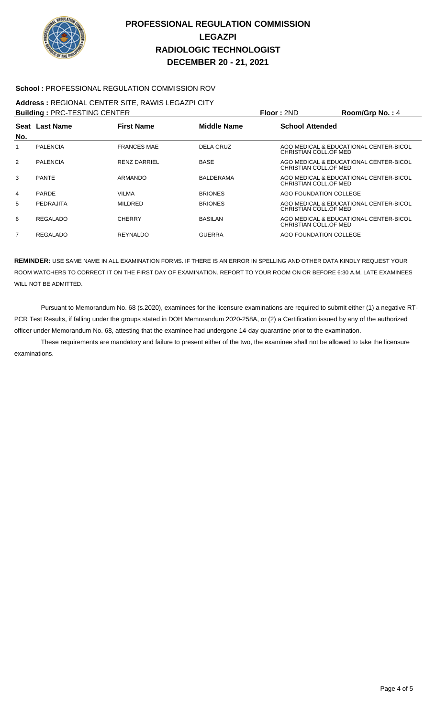

#### **School :** PROFESSIONAL REGULATION COMMISSION ROV

#### **Address :** REGIONAL CENTER SITE, RAWIS LEGAZPI CITY

| <b>Building: PRC-TESTING CENTER</b> |                 |                     |                  | Floor: 2ND             | Room/Grp No.: 4                        |
|-------------------------------------|-----------------|---------------------|------------------|------------------------|----------------------------------------|
| No.                                 | Seat Last Name  | <b>First Name</b>   | Middle Name      | <b>School Attended</b> |                                        |
| 1                                   | <b>PALENCIA</b> | <b>FRANCES MAE</b>  | DELA CRUZ        | CHRISTIAN COLL.OF MED  | AGO MEDICAL & EDUCATIONAL CENTER-BICOL |
| 2                                   | <b>PALENCIA</b> | <b>RENZ DARRIEL</b> | <b>BASE</b>      | CHRISTIAN COLL.OF MED  | AGO MEDICAL & EDUCATIONAL CENTER-BICOL |
| 3                                   | <b>PANTE</b>    | ARMANDO             | <b>BALDERAMA</b> | CHRISTIAN COLL.OF MED  | AGO MEDICAL & EDUCATIONAL CENTER-BICOL |
| 4                                   | <b>PARDE</b>    | VILMA               | <b>BRIONES</b>   | AGO FOUNDATION COLLEGE |                                        |
| 5                                   | PEDRAJITA       | <b>MILDRED</b>      | <b>BRIONES</b>   | CHRISTIAN COLL.OF MED  | AGO MEDICAL & EDUCATIONAL CENTER-BICOL |
| 6                                   | REGALADO        | <b>CHERRY</b>       | <b>BASILAN</b>   | CHRISTIAN COLL.OF MED  | AGO MEDICAL & EDUCATIONAL CENTER-BICOL |
| 7                                   | <b>REGALADO</b> | <b>REYNALDO</b>     | <b>GUERRA</b>    | AGO FOUNDATION COLLEGE |                                        |

**REMINDER:** USE SAME NAME IN ALL EXAMINATION FORMS. IF THERE IS AN ERROR IN SPELLING AND OTHER DATA KINDLY REQUEST YOUR ROOM WATCHERS TO CORRECT IT ON THE FIRST DAY OF EXAMINATION. REPORT TO YOUR ROOM ON OR BEFORE 6:30 A.M. LATE EXAMINEES WILL NOT BE ADMITTED.

 Pursuant to Memorandum No. 68 (s.2020), examinees for the licensure examinations are required to submit either (1) a negative RT-PCR Test Results, if falling under the groups stated in DOH Memorandum 2020-258A, or (2) a Certification issued by any of the authorized officer under Memorandum No. 68, attesting that the examinee had undergone 14-day quarantine prior to the examination.